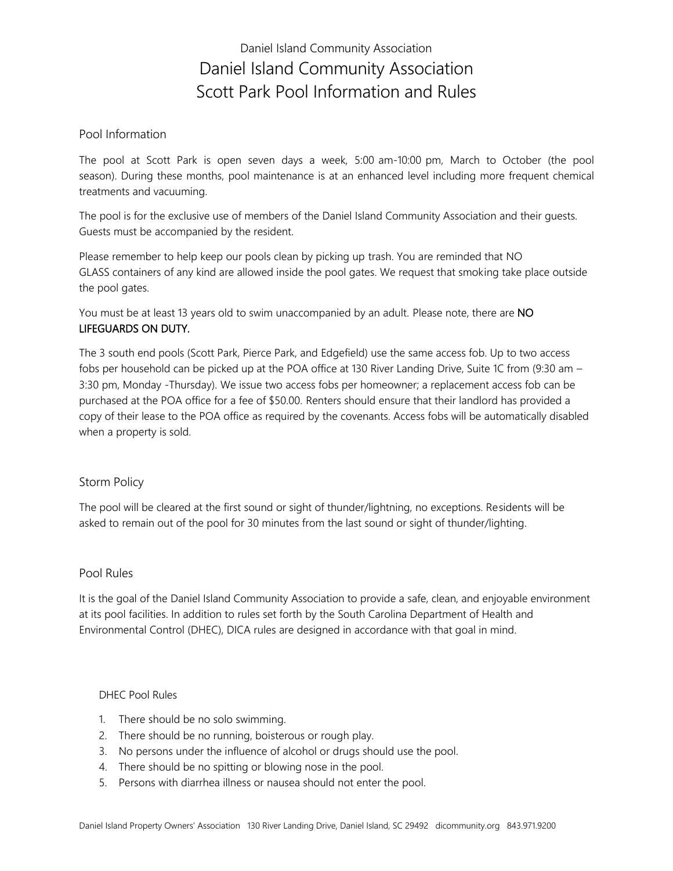# Daniel Island Community Association Daniel Island Community Association Scott Park Pool Information and Rules

### Pool Information

The pool at Scott Park is open seven days a week, 5:00 am-10:00 pm, March to October (the pool season). During these months, pool maintenance is at an enhanced level including more frequent chemical treatments and vacuuming.

The pool is for the exclusive use of members of the Daniel Island Community Association and their guests. Guests must be accompanied by the resident.

Please remember to help keep our pools clean by picking up trash. You are reminded that NO GLASS containers of any kind are allowed inside the pool gates. We request that smoking take place outside the pool gates.

You must be at least 13 years old to swim unaccompanied by an adult. Please note, there are NO LIFEGUARDS ON DUTY.

The 3 south end pools (Scott Park, Pierce Park, and Edgefield) use the same access fob. Up to two access fobs per household can be picked up at the POA office at 130 River Landing Drive, Suite 1C from (9:30 am – 3:30 pm, Monday -Thursday). We issue two access fobs per homeowner; a replacement access fob can be purchased at the POA office for a fee of \$50.00. Renters should ensure that their landlord has provided a copy of their lease to the POA office as required by the covenants. Access fobs will be automatically disabled when a property is sold.

## Storm Policy

The pool will be cleared at the first sound or sight of thunder/lightning, no exceptions. Residents will be asked to remain out of the pool for 30 minutes from the last sound or sight of thunder/lighting.

#### Pool Rules

It is the goal of the Daniel Island Community Association to provide a safe, clean, and enjoyable environment at its pool facilities. In addition to rules set forth by the South Carolina Department of Health and Environmental Control (DHEC), DICA rules are designed in accordance with that goal in mind.

#### DHEC Pool Rules

- 1. There should be no solo swimming.
- 2. There should be no running, boisterous or rough play.
- 3. No persons under the influence of alcohol or drugs should use the pool.
- 4. There should be no spitting or blowing nose in the pool.
- 5. Persons with diarrhea illness or nausea should not enter the pool.